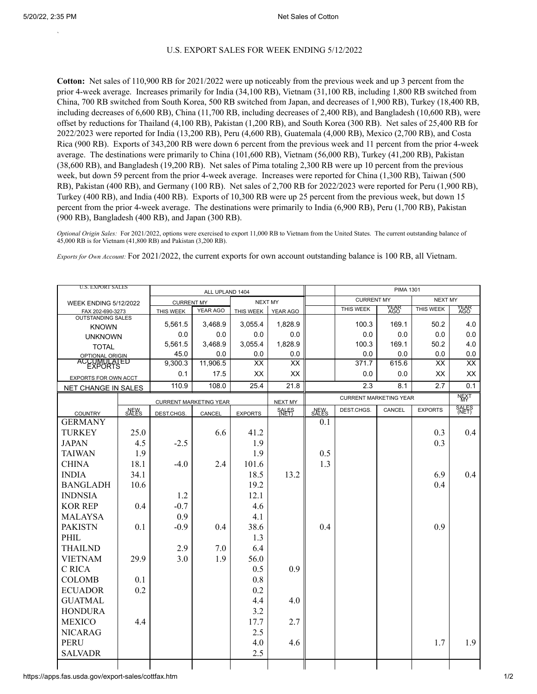`

## U.S. EXPORT SALES FOR WEEK ENDING 5/12/2022

**Cotton:** Net sales of 110,900 RB for 2021/2022 were up noticeably from the previous week and up 3 percent from the prior 4-week average. Increases primarily for India (34,100 RB), Vietnam (31,100 RB, including 1,800 RB switched from China, 700 RB switched from South Korea, 500 RB switched from Japan, and decreases of 1,900 RB), Turkey (18,400 RB, including decreases of 6,600 RB), China (11,700 RB, including decreases of 2,400 RB), and Bangladesh (10,600 RB), were offset by reductions for Thailand (4,100 RB), Pakistan (1,200 RB), and South Korea (300 RB). Net sales of 25,400 RB for 2022/2023 were reported for India (13,200 RB), Peru (4,600 RB), Guatemala (4,000 RB), Mexico (2,700 RB), and Costa Rica (900 RB). Exports of 343,200 RB were down 6 percent from the previous week and 11 percent from the prior 4-week average. The destinations were primarily to China (101,600 RB), Vietnam (56,000 RB), Turkey (41,200 RB), Pakistan (38,600 RB), and Bangladesh (19,200 RB). Net sales of Pima totaling 2,300 RB were up 10 percent from the previous week, but down 59 percent from the prior 4-week average. Increases were reported for China (1,300 RB), Taiwan (500 RB), Pakistan (400 RB), and Germany (100 RB). Net sales of 2,700 RB for 2022/2023 were reported for Peru (1,900 RB), Turkey (400 RB), and India (400 RB). Exports of 10,300 RB were up 25 percent from the previous week, but down 15 percent from the prior 4-week average. The destinations were primarily to India (6,900 RB), Peru (1,700 RB), Pakistan (900 RB), Bangladesh (400 RB), and Japan (300 RB).

*Optional Origin Sales:* For 2021/2022, options were exercised to export 11,000 RB to Vietnam from the United States. The current outstanding balance of 45,000 RB is for Vietnam (41,800 RB) and Pakistan (3,200 RB).

*Exports for Own Account:* For 2021/2022, the current exports for own account outstanding balance is 100 RB, all Vietnam.

| <b>U.S. EXPORT SALES</b>       |       |                   | ALL UPLAND 1404               |                | <b>PIMA 1301</b> |                               |                   |             |                |              |
|--------------------------------|-------|-------------------|-------------------------------|----------------|------------------|-------------------------------|-------------------|-------------|----------------|--------------|
| <b>WEEK ENDING 5/12/2022</b>   |       | <b>CURRENT MY</b> |                               | <b>NEXT MY</b> |                  |                               | <b>CURRENT MY</b> |             | NEXT MY        |              |
| FAX 202-690-3273               |       | THIS WEEK         | YEAR AGO                      | THIS WEEK      | YEAR AGO         |                               | THIS WEEK         | YEAR<br>AGO | THIS WEEK      | YEAR<br>AGO  |
| <b>OUTSTANDING SALES</b>       |       | 5,561.5           | 3,468.9                       | 3,055.4        | 1,828.9          |                               | 100.3             | 169.1       | 50.2           | 4.0          |
| <b>KNOWN</b>                   |       | 0.0               | 0.0                           | 0.0            | 0.0              |                               | 0.0               | 0.0         | 0.0            | 0.0          |
| <b>UNKNOWN</b>                 |       | 5,561.5           | 3,468.9                       | 3,055.4        | 1,828.9          |                               | 100.3             | 169.1       | 50.2           | 4.0          |
| <b>TOTAL</b>                   |       | 45.0              | 0.0                           | 0.0            | 0.0              |                               | 0.0               | 0.0         | 0.0            | 0.0          |
| OPTIONAL ORIGIN<br>ACCUMULATED |       | 9,300.3           | 11,906.5                      | <b>XX</b>      | XX               |                               | 371.7             | 615.6       | XX             | XX           |
|                                |       | 0.1               | 17.5                          | XX             | XX               |                               | 0.0               | 0.0         | XX             | XX           |
| EXPORTS FOR OWN ACCT           |       |                   |                               |                |                  |                               |                   |             |                |              |
| NET CHANGE IN SALES            |       | 110.9             | 108.0                         | 25.4           | 21.8             |                               | 2.3               | 8.1         | 2.7            | 0.1          |
|                                |       |                   | <b>CURRENT MARKETING YEAR</b> |                | NEXT MY          | <b>CURRENT MARKETING YEAR</b> |                   |             |                | <b>NEXT</b>  |
| <b>COUNTRY</b>                 | SALES | DEST.CHGS.        | CANCEL                        | <b>EXPORTS</b> | <b>SALES</b>     | SALES                         | DEST.CHGS.        | CANCEL      | <b>EXPORTS</b> | <b>SALES</b> |
| <b>GERMANY</b>                 |       |                   |                               |                |                  | 0.1                           |                   |             |                |              |
| <b>TURKEY</b>                  | 25.0  |                   | 6.6                           | 41.2           |                  |                               |                   |             | 0.3            | 0.4          |
| <b>JAPAN</b>                   | 4.5   | $-2.5$            |                               | 1.9            |                  |                               |                   |             | 0.3            |              |
| <b>TAIWAN</b>                  | 1.9   |                   |                               | 1.9            |                  | 0.5                           |                   |             |                |              |
| <b>CHINA</b>                   | 18.1  | $-4.0$            | 2.4                           | 101.6          |                  | 1.3                           |                   |             |                |              |
| <b>INDIA</b>                   | 34.1  |                   |                               | 18.5           | 13.2             |                               |                   |             | 6.9            | 0.4          |
| <b>BANGLADH</b>                | 10.6  |                   |                               | 19.2           |                  |                               |                   |             | 0.4            |              |
| <b>INDNSIA</b>                 |       | 1.2               |                               | 12.1           |                  |                               |                   |             |                |              |
| <b>KOR REP</b>                 | 0.4   | $-0.7$            |                               | 4.6            |                  |                               |                   |             |                |              |
| MALAYSA                        |       | 0.9               |                               | 4.1            |                  |                               |                   |             |                |              |
| <b>PAKISTN</b>                 | 0.1   | $-0.9$            | 0.4                           | 38.6           |                  | 0.4                           |                   |             | 0.9            |              |
| PHIL                           |       |                   |                               | 1.3            |                  |                               |                   |             |                |              |
| <b>THAILND</b>                 |       | 2.9               | 7.0                           | 6.4            |                  |                               |                   |             |                |              |
| <b>VIETNAM</b>                 | 29.9  | 3.0               | 1.9                           | 56.0           |                  |                               |                   |             |                |              |
| C RICA                         |       |                   |                               | 0.5            | 0.9              |                               |                   |             |                |              |
| <b>COLOMB</b>                  | 0.1   |                   |                               | 0.8            |                  |                               |                   |             |                |              |
| <b>ECUADOR</b>                 | 0.2   |                   |                               | 0.2            |                  |                               |                   |             |                |              |
|                                |       |                   |                               |                |                  |                               |                   |             |                |              |
| <b>GUATMAL</b>                 |       |                   |                               | 4.4            | 4.0              |                               |                   |             |                |              |
| <b>HONDURA</b>                 |       |                   |                               | 3.2            |                  |                               |                   |             |                |              |
| <b>MEXICO</b>                  | 4.4   |                   |                               | 17.7           | 2.7              |                               |                   |             |                |              |
| <b>NICARAG</b>                 |       |                   |                               | 2.5            |                  |                               |                   |             |                |              |
| <b>PERU</b>                    |       |                   |                               | 4.0            | 4.6              |                               |                   |             | 1.7            | 1.9          |
| <b>SALVADR</b>                 |       |                   |                               | 2.5            |                  |                               |                   |             |                |              |
|                                |       |                   |                               |                |                  |                               |                   |             |                |              |

https://apps.fas.usda.gov/export-sales/cottfax.htm 1/2